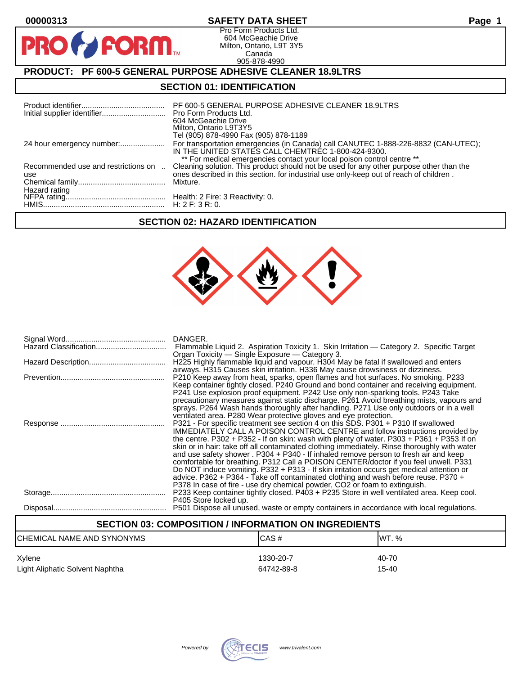$\mathbf O$ 

PR

# **00000313 SAFETY DATA SHEET Page 1**

Pro Form Products Ltd. 604 McGeachie Drive Milton, Ontario, L9T 3Y5 Canada 905-878-4990

# **PRODUCT: PF 600-5 GENERAL PURPOSE ADHESIVE CLEANER 18.9LTRS**

**FORM.** 

### **SECTION 01: IDENTIFICATION**

|                                            | PF 600-5 GENERAL PURPOSE ADHESIVE CLEANER 18.9LTRS<br>604 McGeachie Drive<br>Milton, Ontario L9T3Y5<br>Tel (905) 878-4990 Fax (905) 878-1189                                                                                                                             |
|--------------------------------------------|--------------------------------------------------------------------------------------------------------------------------------------------------------------------------------------------------------------------------------------------------------------------------|
| 24 hour emergency number:                  | For transportation emergencies (in Canada) call CANUTEC 1-888-226-8832 (CAN-UTEC);<br>IN THE UNITED STATES CALL CHEMTREC 1-800-424-9300.                                                                                                                                 |
| Recommended use and restrictions on<br>use | ** For medical emergencies contact your local poison control centre **.<br>Cleaning solution. This product should not be used for any other purpose other than the<br>ones described in this section, for industrial use only-keep out of reach of children.<br>Mixture. |
|                                            |                                                                                                                                                                                                                                                                          |

# **SECTION 02: HAZARD IDENTIFICATION**



| DANGER.<br>Flammable Liquid 2. Aspiration Toxicity 1. Skin Irritation — Category 2. Specific Target<br>Organ Toxicity - Single Exposure - Category 3.                                                                                                                                                                                                                                                                                                                                                                                                                                                                                                                                                                                                                                                                                                                                     |
|-------------------------------------------------------------------------------------------------------------------------------------------------------------------------------------------------------------------------------------------------------------------------------------------------------------------------------------------------------------------------------------------------------------------------------------------------------------------------------------------------------------------------------------------------------------------------------------------------------------------------------------------------------------------------------------------------------------------------------------------------------------------------------------------------------------------------------------------------------------------------------------------|
| H225 Highly flammable liquid and vapour. H304 May be fatal if swallowed and enters<br>airways. H315 Causes skin irritation. H336 May cause drowsiness or dizziness.                                                                                                                                                                                                                                                                                                                                                                                                                                                                                                                                                                                                                                                                                                                       |
| P210 Keep away from heat, sparks, open flames and hot surfaces. No smoking. P233<br>Keep container tightly closed. P240 Ground and bond container and receiving equipment.<br>P241 Use explosion proof equipment. P242 Use only non-sparking tools. P243 Take<br>precautionary measures against static discharge. P261 Avoid breathing mists, vapours and<br>sprays. P264 Wash hands thoroughly after handling. P271 Use only outdoors or in a well                                                                                                                                                                                                                                                                                                                                                                                                                                       |
| ventilated area. P280 Wear protective gloves and eye protection.<br>P321 - For specific treatment see section 4 on this SDS. P301 + P310 If swallowed<br><b>IMMEDIATELY CALL A POISON CONTROL CENTRE and follow instructions provided by</b><br>the centre. P302 + P352 - If on skin: wash with plenty of water. P303 + P361 + P353 If on<br>skin or in hair: take off all contaminated clothing immediately. Rinse thoroughly with water<br>and use safety shower . P304 + P340 - If inhaled remove person to fresh air and keep<br>comfortable for breathing. P312 Call a POISON CENTER/doctor if you feel unwell. P331<br>Do NOT induce vomiting. P332 + P313 - If skin irritation occurs get medical attention or<br>advice. P362 + P364 - Take off contaminated clothing and wash before reuse. P370 +<br>P378 In case of fire - use dry chemical powder, CO2 or foam to extinguish. |
| P233 Keep container tightly closed. P403 + P235 Store in well ventilated area. Keep cool.<br>P405 Store locked up.                                                                                                                                                                                                                                                                                                                                                                                                                                                                                                                                                                                                                                                                                                                                                                        |
| P501 Dispose all unused, waste or empty containers in accordance with local regulations.                                                                                                                                                                                                                                                                                                                                                                                                                                                                                                                                                                                                                                                                                                                                                                                                  |

# **SECTION 03: COMPOSITION / INFORMATION ON INGREDIENTS**

| CHEMICAL NAME AND SYNONYMS      | ICAS#      | IWT. % |
|---------------------------------|------------|--------|
| Xylene                          | 1330-20-7  | 40-70  |
| Light Aliphatic Solvent Naphtha | 64742-89-8 | 15-40  |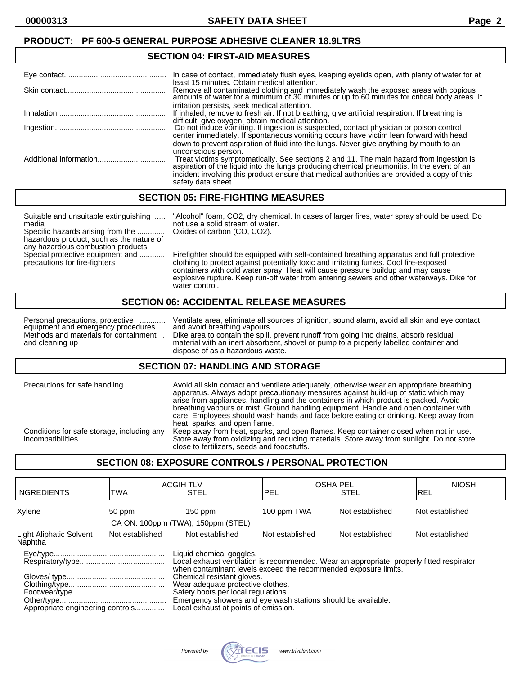### **PRODUCT: PF 600-5 GENERAL PURPOSE ADHESIVE CLEANER 18.9LTRS**

#### **SECTION 04: FIRST-AID MEASURES**

| In case of contact, immediately flush eyes, keeping eyelids open, with plenty of water for at                                                                                                                                                                                                           |
|---------------------------------------------------------------------------------------------------------------------------------------------------------------------------------------------------------------------------------------------------------------------------------------------------------|
| least 15 minutes. Obtain medical attention.<br>Remove all contaminated clothing and immediately wash the exposed areas with copious amounts of water for a minimum of 30 minutes or up to 60 minutes for critical body areas. If                                                                        |
| irritation persists, seek medical attention.<br>If inhaled, remove to fresh air. If not breathing, give artificial respiration. If breathing is                                                                                                                                                         |
| difficult, give oxygen, obtain medical attention.<br>Do not induce vomiting. If ingestion is suspected, contact physician or poison control                                                                                                                                                             |
| center immediately. If spontaneous vomiting occurs have victim lean forward with head<br>down to prevent aspiration of fluid into the lungs. Never give anything by mouth to an<br>unconscious person.                                                                                                  |
| Treat victims symptomatically. See sections 2 and 11. The main hazard from ingestion is aspiration of the liquid into the lungs producing chemical pneumonitis. In the event of an<br>incident involving this product ensure that medical authorities are provided a copy of this<br>safety data sheet. |

### **SECTION 05: FIRE-FIGHTING MEASURES**

Suitable and unsuitable extinguishing ..... "Alcohol" foam, CO2, dry chemical. In cases of larger fires, water spray should be used. Do media not use a solid stream of water. Specific hazards arising from the ............. Oxides of carbon (CO, CO2). hazardous product, such as the nature of any hazardous combustion products<br>Special protective equipment and ............ Firefighter should be equipped with self-contained breathing apparatus and full protective precautions for fire-fighters clothing to protect against potentially toxic and irritating fumes. Cool fire-exposed containers with cold water spray. Heat will cause pressure buildup and may cause explosive rupture. Keep run-off water from entering sewers and other waterways. Dike for water control.

### **SECTION 06: ACCIDENTAL RELEASE MEASURES**

equipment and emergency procedures<br>Methods and materials for containment.

Personal precautions, protective ............ Ventilate area, eliminate all sources of ignition, sound alarm, avoid all skin and eye contact equipment and emergency procedures and avoid breathing vapours. Methods and materials for containment . Dike area to contain the spill, prevent runoff from going into drains, absorb residual material with an inert absorbent, shovel or pump to a properly labelled container and dispose of as a hazardous waste.

#### **SECTION 07: HANDLING AND STORAGE**

| Precautions for safe handling                                   | Avoid all skin contact and ventilate adequately, otherwise wear an appropriate breathing<br>apparatus. Always adopt precautionary measures against build-up of static which may<br>arise from appliances, handling and the containers in which product is packed. Avoid<br>breathing vapours or mist. Ground handling equipment. Handle and open container with<br>care. Employees should wash hands and face before eating or drinking. Keep away from<br>heat, sparks, and open flame. |
|-----------------------------------------------------------------|------------------------------------------------------------------------------------------------------------------------------------------------------------------------------------------------------------------------------------------------------------------------------------------------------------------------------------------------------------------------------------------------------------------------------------------------------------------------------------------|
| Conditions for safe storage, including any<br>incompatibilities | Keep away from heat, sparks, and open flames. Keep container closed when not in use.<br>Store away from oxidizing and reducing materials. Store away from sunlight. Do not store<br>close to fertilizers, seeds and foodstuffs.                                                                                                                                                                                                                                                          |

### **SECTION 08: EXPOSURE CONTROLS / PERSONAL PROTECTION**

| IINGREDIENTS                                                                                                                                                                             | TWA             | <b>ACGIH TLV</b><br><b>STEL</b>                                                                                                                                                                                | <b>OSHA PEL</b><br>IPEL | <b>STEL</b>     | <b>NIOSH</b><br>IREL |
|------------------------------------------------------------------------------------------------------------------------------------------------------------------------------------------|-----------------|----------------------------------------------------------------------------------------------------------------------------------------------------------------------------------------------------------------|-------------------------|-----------------|----------------------|
| Xylene                                                                                                                                                                                   | 50 ppm          | $150$ ppm                                                                                                                                                                                                      | 100 ppm TWA             | Not established | Not established      |
|                                                                                                                                                                                          |                 | CA ON: 100ppm (TWA); 150ppm (STEL)                                                                                                                                                                             |                         |                 |                      |
| Light Aliphatic Solvent<br>Naphtha                                                                                                                                                       | Not established | Not established                                                                                                                                                                                                | Not established         | Not established | Not established      |
| Liquid chemical goggles.<br>Local exhaust ventilation is recommended. Wear an appropriate, properly fitted respirator<br>when contaminant levels exceed the recommended exposure limits. |                 |                                                                                                                                                                                                                |                         |                 |                      |
| Appropriate engineering controls                                                                                                                                                         |                 | Chemical resistant gloves.<br>Wear adequate protective clothes.<br>Safety boots per local regulations.<br>Emergency showers and eye wash stations should be available.<br>Local exhaust at points of emission. |                         |                 |                      |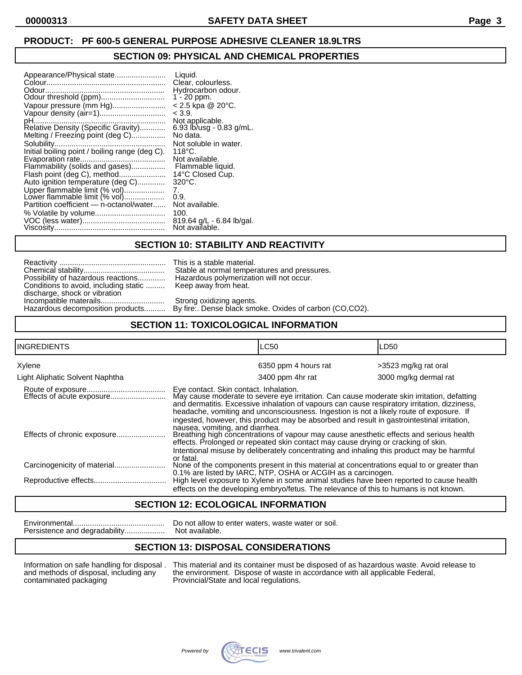# **PRODUCT: PF 600-5 GENERAL PURPOSE ADHESIVE CLEANER 18.9LTRS**

### **SECTION 09: PHYSICAL AND CHEMICAL PROPERTIES**

| Odour<br>Odour threshold (ppm)<br>Vapour pressure (mm Hg)<br>Vapour density (air=1)<br>pH<br>.<br>Relative Density (Specific Gravity)<br>Melting / Freezing point (deg C)<br>Initial boiling point / boiling range (deg C).<br>Evaporation rate.<br>Flammability (solids and gases)<br>Flash point (deg C), method.<br>.<br>Auto ignition temperature (deg C)<br>Upper flammable limit (% vol)<br>Lower flammable limit (% vol)<br>Partition coefficient - n-octanol/water | Liquid.<br>Clear, colourless.<br>Hydrocarbon odour.<br>$1 - 20$ ppm.<br>$< 2.5$ kpa @ 20 $^{\circ}$ C.<br>< 3.9.<br>Not applicable.<br>$6.93$ lb/usq - 0.83 g/mL.<br>No data.<br>Not soluble in water.<br>$118^{\circ}$ C.<br>Not available.<br>Flammable liquid.<br>14°C Closed Cup.<br>$320^{\circ}$ C.<br>7.<br>0.9.<br>Not available.<br>100.<br>819.64 g/L - 6.84 lb/gal. |
|----------------------------------------------------------------------------------------------------------------------------------------------------------------------------------------------------------------------------------------------------------------------------------------------------------------------------------------------------------------------------------------------------------------------------------------------------------------------------|--------------------------------------------------------------------------------------------------------------------------------------------------------------------------------------------------------------------------------------------------------------------------------------------------------------------------------------------------------------------------------|
|                                                                                                                                                                                                                                                                                                                                                                                                                                                                            | Not available.                                                                                                                                                                                                                                                                                                                                                                 |

### **SECTION 10: STABILITY AND REACTIVITY**

| Possibility of hazardous reactions    |
|---------------------------------------|
| Conditions to avoid, including static |
| discharge, shock or vibration         |
|                                       |
| Hazardous decomposition products      |

This is a stable material. Stable at normal temperatures and pressures. Hazardous polymerization will not occur. Keep away from heat.

Strong oxidizing agents. By fire:. Dense black smoke. Oxides of carbon (CO,CO2).

# **SECTION 11: TOXICOLOGICAL INFORMATION**

| <b>INGREDIENTS</b>              | <b>LC50</b>                                                                                                                                                                                                                                                                                                                     |                      | LD50                  |
|---------------------------------|---------------------------------------------------------------------------------------------------------------------------------------------------------------------------------------------------------------------------------------------------------------------------------------------------------------------------------|----------------------|-----------------------|
| Xylene                          |                                                                                                                                                                                                                                                                                                                                 | 6350 ppm 4 hours rat | >3523 mg/kg rat oral  |
| Light Aliphatic Solvent Naphtha |                                                                                                                                                                                                                                                                                                                                 | 3400 ppm 4hr rat     | 3000 mg/kg dermal rat |
| Effects of acute exposure       | Eye contact. Skin contact. Inhalation.<br>May cause moderate to severe eye irritation. Can cause moderate skin irritation, defatting<br>and dermatitis. Excessive inhalation of vapours can cause respiratory irritation, dizziness,<br>headache, vomiting and unconsciousness. Ingestion is not a likely route of exposure. If |                      |                       |
|                                 | ingested, however, this product may be absorbed and result in gastrointestinal irritation,<br>nausea, vomiting, and diarrhea.<br>Breathing high concentrations of vapour may cause anesthetic effects and serious health<br>effects. Prolonged or repeated skin contact may cause drying or cracking of skin.                   |                      |                       |
|                                 | Intentional misuse by deliberately concentrating and inhaling this product may be harmful<br>or fatal.<br>None of the components present in this material at concentrations equal to or greater than<br>0.1% are listed by IARC, NTP, OSHA or ACGIH as a carcinogen.                                                            |                      |                       |
|                                 | High level exposure to Xylene in some animal studies have been reported to cause health<br>effects on the developing embryo/fetus. The relevance of this to humans is not known.                                                                                                                                                |                      |                       |

### **SECTION 12: ECOLOGICAL INFORMATION**

Persistence and degradability...................

Environmental........................................... Do not allow to enter waters, waste water or soil.

### **SECTION 13: DISPOSAL CONSIDERATIONS**

Information on safe handling for disposal . This material and its container must be disposed of as hazardous waste. Avoid release to and methods of disposal, including any the environment. Dispose of waste in accordance wi and methods of disposal, including any the environment. Dispose of waste in accordance with all applicable Federal, contaminated packaging Provincial/State and local regulations. Provincial/State and local regulations.